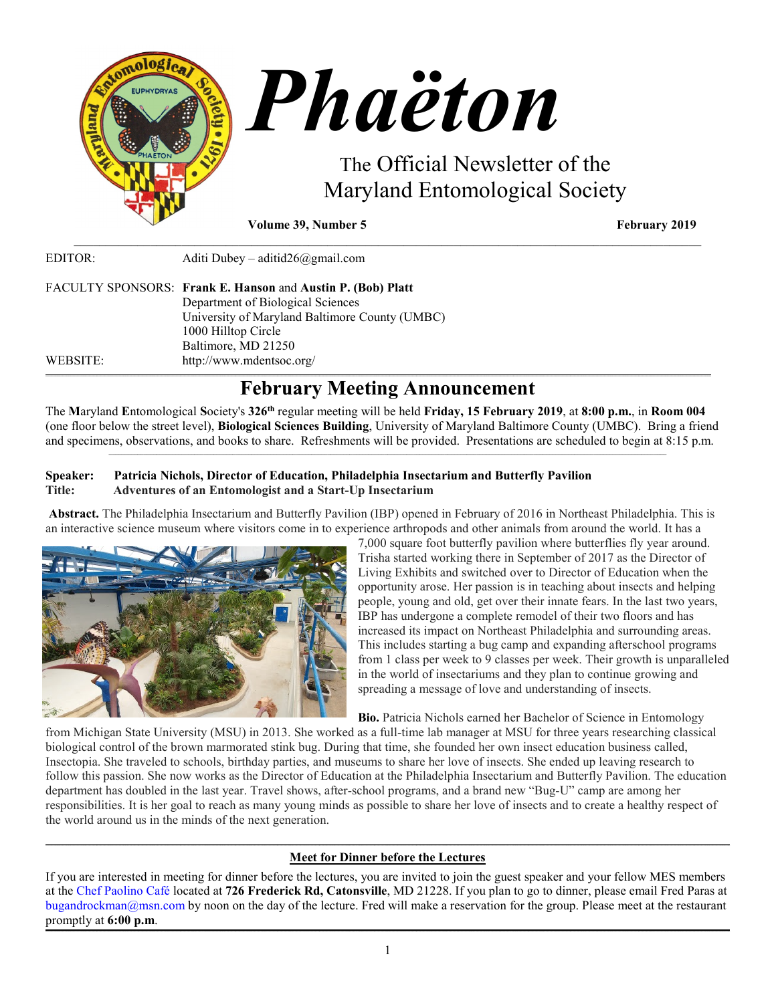

**Volume 39, Number 5 February** 2019

EDITOR: Aditi Dubey – [aditid26@gmail.com](mailto:aditid26@gmail.com) FACULTY SPONSORS: **Frank E. Hanson** and **Austin P. (Bob) Platt** Department of Biological Sciences University of Maryland Baltimore County (UMBC) 1000 Hilltop Circle Baltimore, MD 21250 WEBSITE: <http://www.mdentsoc.org/>

# **February Meeting Announcement**

**\_\_\_\_\_\_\_\_\_\_\_\_\_\_\_\_\_\_\_\_\_\_\_\_\_\_\_\_\_\_\_\_\_\_\_\_\_\_\_\_\_\_\_\_\_\_\_\_\_\_\_\_\_\_\_\_\_\_\_\_\_\_\_\_\_\_\_\_\_\_\_\_\_\_\_\_\_\_\_\_\_\_\_\_\_\_\_\_\_\_\_\_\_\_\_\_\_\_\_\_\_\_\_\_\_\_\_\_\_\_\_\_\_\_\_\_\_\_\_\_\_\_\_\_\_\_\_\_\_\_\_\_\_\_\_\_\_\_\_\_\_\_\_\_\_\_\_\_\_\_\_\_\_\_\_\_\_\_\_\_\_\_\_\_\_\_\_\_\_\_\_\_\_\_\_\_\_\_\_\_\_\_\_\_\_\_\_\_\_\_\_\_\_\_\_\_\_\_\_\_\_\_\_\_\_\_\_\_\_\_\_\_\_\_\_\_\_\_\_\_\_\_\_\_\_\_\_\_\_\_\_\_\_\_\_\_\_\_\_\_\_\_\_\_\_\_\_\_\_\_\_\_\_\_\_\_\_\_\_\_\_\_\_\_\_\_\_\_\_\_\_\_\_\_\_\_\_\_\_\_\_\_\_\_\_\_\_\_\_\_\_\_\_\_\_\_\_\_\_\_\_\_\_\_\_\_\_\_\_\_\_\_\_\_\_\_\_\_\_\_\_\_\_\_\_\_\_\_\_\_\_\_\_\_\_\_\_\_\_\_\_\_\_\_\_\_\_\_\_\_**

\_\_\_\_\_\_\_\_\_\_\_\_\_\_\_\_\_\_\_\_\_\_\_\_\_\_\_\_\_\_\_\_\_\_\_\_\_\_\_\_\_\_\_\_\_\_\_\_\_\_\_\_\_\_\_\_\_\_\_\_\_\_\_\_\_\_\_\_\_\_\_\_\_\_\_\_\_\_\_\_\_\_\_\_\_\_\_\_\_\_\_\_\_\_\_\_\_\_\_

The **M**aryland **E**ntomological **S**ociety's **326th** regular meeting will be held **Friday, 15 February 2019**, at **8:00 p.m.**, in **Room 004** (one floor below the street level), **Biological Sciences Building**, University of Maryland Baltimore County (UMBC). Bring a friend and specimens, observations, and books to share. Refreshments will be provided. Presentations are scheduled to begin at 8:15 p.m.  $\mathcal{L}_\text{max} = \mathcal{L}_\text{max} = \mathcal{L}_\text{max} = \mathcal{L}_\text{max} = \mathcal{L}_\text{max} = \mathcal{L}_\text{max} = \mathcal{L}_\text{max} = \mathcal{L}_\text{max} = \mathcal{L}_\text{max} = \mathcal{L}_\text{max} = \mathcal{L}_\text{max} = \mathcal{L}_\text{max} = \mathcal{L}_\text{max} = \mathcal{L}_\text{max} = \mathcal{L}_\text{max} = \mathcal{L}_\text{max} = \mathcal{L}_\text{max} = \mathcal{L}_\text{max} = \mathcal{$ 

## **Speaker: Patricia Nichols, Director of Education, Philadelphia Insectarium and Butterfly Pavilion Title: Adventures of an Entomologist and a Start-Up Insectarium**

**Abstract.** The Philadelphia Insectarium and Butterfly Pavilion (IBP) opened in February of 2016 in Northeast Philadelphia. This is an interactive science museum where visitors come in to experience arthropods and other animals from around the world. It has a



7,000 square foot butterfly pavilion where butterflies fly year around. Trisha started working there in September of 2017 as the Director of Living Exhibits and switched over to Director of Education when the opportunity arose. Her passion is in teaching about insects and helping people, young and old, get over their innate fears. In the last two years, IBP has undergone a complete remodel of their two floors and has increased its impact on Northeast Philadelphia and surrounding areas. This includes starting a bug camp and expanding afterschool programs from 1 class per week to 9 classes per week. Their growth is unparalleled in the world of insectariums and they plan to continue growing and spreading a message of love and understanding of insects.

**Bio.** Patricia Nichols earned her Bachelor of Science in Entomology

from Michigan State University (MSU) in 2013. She worked as a full-time lab manager at MSU for three years researching classical biological control of the brown marmorated stink bug. During that time, she founded her own insect education business called, Insectopia. She traveled to schools, birthday parties, and museums to share her love of insects. She ended up leaving research to follow this passion. She now works as the Director of Education at the Philadelphia Insectarium and Butterfly Pavilion. The education department has doubled in the last year. Travel shows, after-school programs, and a brand new "Bug-U" camp are among her responsibilities. It is her goal to reach as many young minds as possible to share her love of insects and to create a healthy respect of the world around us in the minds of the next generation.

#### **\_\_\_\_\_\_\_\_\_\_\_\_\_\_\_\_\_\_\_\_\_\_\_\_\_\_\_\_\_\_\_\_\_\_\_\_\_\_\_\_\_\_\_\_\_\_\_\_\_\_\_\_\_\_\_\_\_\_\_\_\_\_\_\_\_\_\_\_\_\_\_\_\_\_\_\_\_\_\_\_\_\_\_\_\_\_\_\_\_\_\_\_\_\_\_\_\_\_\_\_\_\_\_\_\_\_\_\_\_\_\_\_\_\_\_\_\_\_\_\_\_\_\_\_\_\_\_\_\_\_\_\_\_\_\_\_\_\_\_\_\_\_\_\_\_\_\_\_\_\_\_\_\_\_\_\_\_\_\_\_\_\_\_\_\_\_\_\_\_\_\_\_\_\_\_\_\_\_\_\_\_\_\_\_\_\_\_\_\_\_\_\_\_\_\_\_\_\_\_\_\_\_\_\_\_\_\_\_\_\_\_\_\_\_\_\_\_\_\_\_\_\_\_\_\_\_\_\_\_\_\_\_\_\_\_\_\_\_\_\_\_\_\_\_\_\_\_\_\_\_\_\_\_\_\_\_\_\_\_\_\_\_\_\_\_\_\_\_\_\_\_\_\_\_\_\_\_\_\_\_\_\_\_\_\_\_\_\_\_\_\_\_\_\_\_\_\_\_\_\_\_\_\_\_\_\_\_\_\_\_\_\_\_\_\_\_\_\_\_\_\_\_\_\_\_\_\_\_\_\_\_\_\_\_\_\_\_\_\_\_\_\_\_\_\_\_\_\_\_\_\_\_\_\_\_\_\_\_\_\_ Meet for Dinner before the Lectures**

If you are interested in meeting for dinner before the lectures, you are invited to join the guest speaker and your fellow MES members at the [Chef Paolino Café](https://www.google.com/maps/place/Chef+Paolino+Cafe/@39.2727924,-76.7320191,15z/data=!4m5!3m4!1s0x0:0x5b7140dd2ad4f543!8m2!3d39.2727924!4d-76.7320191) located at **726 Frederick Rd, Catonsville**, MD 21228. If you plan to go to dinner, please email Fred Paras at bugandrockman@msn.com by noon on the day of the lecture. Fred will make a reservation for the group. Please meet at the restaurant promptly at **6:00 p.m**. **\_\_\_\_\_\_\_\_\_\_\_\_\_\_\_\_\_\_\_\_\_\_\_\_\_\_\_\_\_\_\_\_\_\_\_\_\_\_\_\_\_\_\_\_\_\_\_\_\_\_\_\_\_\_\_\_\_\_\_\_\_\_\_\_\_\_\_\_\_\_\_\_\_\_\_\_\_\_\_\_\_\_\_\_\_\_\_\_\_\_\_\_\_\_\_\_\_\_\_\_\_\_\_\_\_\_\_\_\_\_\_\_\_\_\_\_\_\_\_\_\_\_\_\_\_\_\_\_\_\_\_\_\_\_\_\_\_\_\_\_\_\_\_\_\_\_\_\_\_\_\_\_\_\_\_\_\_\_\_\_\_\_\_\_\_\_\_\_\_\_\_\_\_\_\_\_\_\_\_\_\_\_\_\_\_\_\_\_\_\_\_\_\_\_\_\_\_\_\_\_\_\_\_\_\_\_\_\_\_\_\_\_\_\_\_\_\_\_\_\_\_\_\_\_\_\_\_\_\_\_\_\_\_\_\_\_\_\_\_\_\_\_\_\_\_\_\_\_\_\_\_\_\_\_\_\_\_\_\_\_\_\_\_\_\_\_\_\_\_\_\_\_\_\_\_\_\_\_\_\_\_\_\_\_\_\_\_\_\_\_\_\_\_\_\_\_\_\_\_\_\_\_\_\_\_\_\_\_\_\_\_\_\_\_\_\_\_\_\_\_\_\_\_\_\_\_\_\_\_\_\_\_\_\_\_\_\_\_\_\_\_\_\_\_\_\_\_\_\_\_\_\_\_\_\_\_\_\_\_\_**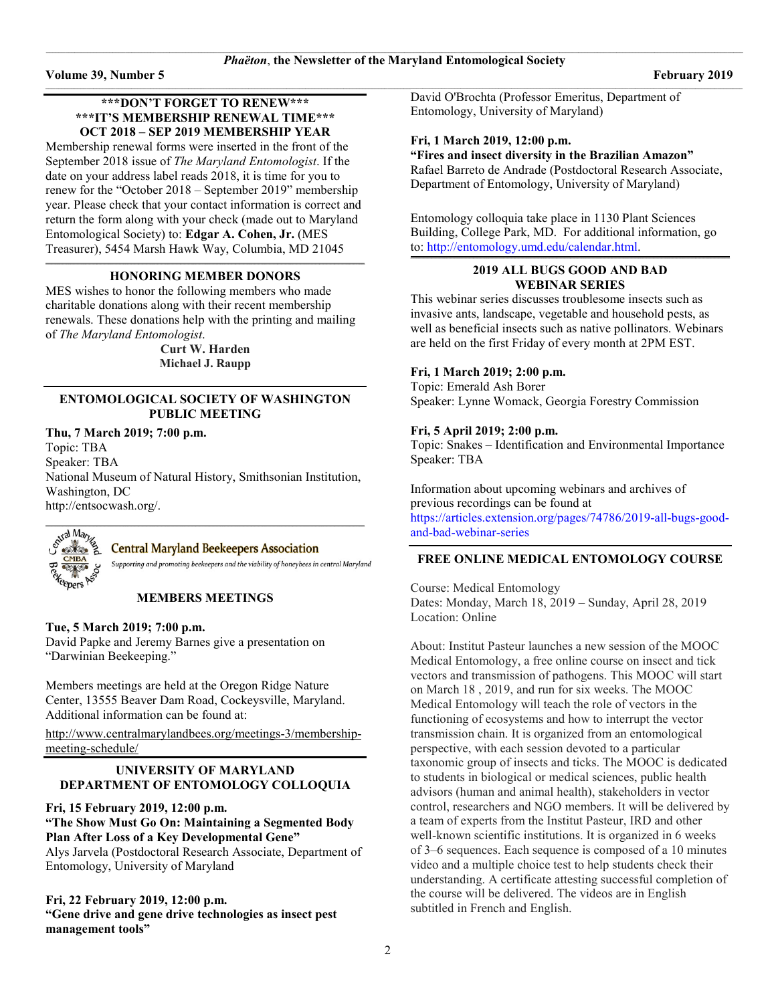### **\*\*\*DON'T FORGET TO RENEW\*\*\* \*\*\*IT'S MEMBERSHIP RENEWAL TIME\*\*\* OCT 2018 – SEP 2019 MEMBERSHIP YEAR**

Membership renewal forms were inserted in the front of the September 2018 issue of *The Maryland Entomologist*. If the date on your address label reads 2018, it is time for you to renew for the "October 2018 – September 2019" membership year. Please check that your contact information is correct and return the form along with your check (made out to Maryland Entomological Society) to: **Edgar A. Cohen, Jr.** (MES Treasurer), 5454 Marsh Hawk Way, Columbia, MD 21045

#### **\_\_\_\_\_\_\_\_\_\_\_\_\_\_\_\_\_\_\_\_\_\_\_\_\_\_\_\_\_\_\_\_\_\_\_\_\_\_\_\_\_\_\_\_\_\_\_\_\_\_\_\_\_\_\_\_\_\_\_\_\_\_\_\_\_\_\_\_\_\_\_\_\_\_\_\_\_\_\_\_\_\_\_\_\_\_\_\_\_\_\_\_\_\_\_\_\_\_\_\_\_\_\_\_\_\_\_\_\_\_\_\_\_\_\_\_\_\_\_\_\_\_\_\_\_\_\_\_\_\_\_\_\_\_\_\_\_\_\_\_\_\_\_\_\_\_\_\_\_\_\_\_\_\_\_\_\_\_\_\_\_\_\_\_\_\_\_\_ HONORING MEMBER DONORS**

MES wishes to honor the following members who made charitable donations along with their recent membership renewals. These donations help with the printing and mailing of *The Maryland Entomologist*.

> **Curt W. Harden Michael J. Raupp**

#### **ENTOMOLOGICAL SOCIETY OF WASHINGTON PUBLIC MEETING**

**Thu, 7 March 2019; 7:00 p.m.** Topic: TBA Speaker: TBA National Museum of Natural History, Smithsonian Institution, Washington, DC [http://entsocwash.org/.](http://entsocwash.org/)



### **Central Maryland Beekeepers Association**

Supporting and promoting beekeepers and the viability of honeybees in central Maryland

### **MEMBERS MEETINGS**

**Tue, 5 March 2019; 7:00 p.m.**

David Papke and Jeremy Barnes give a presentation on "Darwinian Beekeeping."

Members meetings are held at the Oregon Ridge Nature Center, 13555 Beaver Dam Road, Cockeysville, Maryland. Additional information can be found at:

[http://www.centralmarylandbees.org/meetings-3/membership](http://www.centralmarylandbees.org/meetings-3/membership-meeting-schedule/)[meeting-schedule/](http://www.centralmarylandbees.org/meetings-3/membership-meeting-schedule/)

### **UNIVERSITY OF MARYLAND DEPARTMENT OF ENTOMOLOGY COLLOQUIA**

### **Fri, 15 February 2019, 12:00 p.m.**

**"The Show Must Go On: Maintaining a Segmented Body Plan After Loss of a Key Developmental Gene"**

Alys Jarvela (Postdoctoral Research Associate, Department of Entomology, University of Maryland

### **Fri, 22 February 2019, 12:00 p.m. "Gene drive and gene drive technologies as insect pest management tools"**

 $\_$  , and the set of the set of the set of the set of the set of the set of the set of the set of the set of the set of the set of the set of the set of the set of the set of the set of the set of the set of the set of th David O'Brochta (Professor Emeritus, Department of Entomology, University of Maryland)

### **Fri, 1 March 2019, 12:00 p.m.**

**"Fires and insect diversity in the Brazilian Amazon"** Rafael Barreto de Andrade (Postdoctoral Research Associate, Department of Entomology, University of Maryland)

Entomology colloquia take place in 1130 Plant Sciences Building, College Park, MD. For additional information, go to: [http://entomology.umd.edu/calendar.html.](http://entomology.umd.edu/calendar.html)

#### **\_\_\_\_\_\_\_\_\_\_\_\_\_\_\_\_\_\_\_\_\_\_\_\_\_\_\_\_\_\_\_\_\_\_\_\_\_\_\_\_\_\_\_\_\_\_\_\_\_\_\_\_\_\_\_\_\_\_\_\_\_\_\_\_\_\_\_\_\_\_\_\_\_\_\_\_\_\_\_\_\_\_\_\_\_\_\_\_\_\_\_\_\_\_\_\_\_\_\_\_\_\_\_\_\_\_\_\_\_\_\_\_\_\_\_\_\_\_\_\_\_\_\_\_\_\_\_\_\_\_\_\_\_\_\_\_\_\_\_\_\_\_\_\_\_\_\_\_\_\_\_\_\_\_\_\_\_\_\_\_\_\_\_\_\_\_\_\_ 2019 ALL BUGS GOOD AND BAD WEBINAR SERIES**

This webinar series discusses troublesome insects such as invasive ants, landscape, vegetable and household pests, as well as beneficial insects such as native pollinators. Webinars are held on the first Friday of every month at 2PM EST.

### **Fri, 1 March 2019; 2:00 p.m.**

Topic: Emerald Ash Borer Speaker: Lynne Womack, Georgia Forestry Commission

### **Fri, 5 April 2019; 2:00 p.m.**

Topic: Snakes – Identification and Environmental Importance Speaker: TBA

Information about upcoming webinars and archives of previous recordings can be found at [https://articles.extension.org/pages/74786/2019-all-bugs-good-](https://articles.extension.org/pages/74786/2019-all-bugs-good-and-bad-webinar-series)

[and-bad-webinar-series](https://articles.extension.org/pages/74786/2019-all-bugs-good-and-bad-webinar-series)

### **FREE ONLINE MEDICAL ENTOMOLOGY COURSE**

Course: Medical Entomology Dates: Monday, March 18, 2019 – Sunday, April 28, 2019 Location: Online

About: Institut Pasteur launches a new session of the MOOC Medical Entomology, a free online course on insect and tick vectors and transmission of pathogens. This MOOC will start on March 18 , 2019, and run for six weeks. The MOOC Medical Entomology will teach the role of vectors in the functioning of ecosystems and how to interrupt the vector transmission chain. It is organized from an entomological perspective, with each session devoted to a particular taxonomic group of insects and ticks. The MOOC is dedicated to students in biological or medical sciences, public health advisors (human and animal health), stakeholders in vector control, researchers and NGO members. It will be delivered by a team of experts from the Institut Pasteur, IRD and other well-known scientific institutions. It is organized in 6 weeks of 3–6 sequences. Each sequence is composed of a 10 minutes video and a multiple choice test to help students check their understanding. A certificate attesting successful completion of the course will be delivered. The videos are in English subtitled in French and English.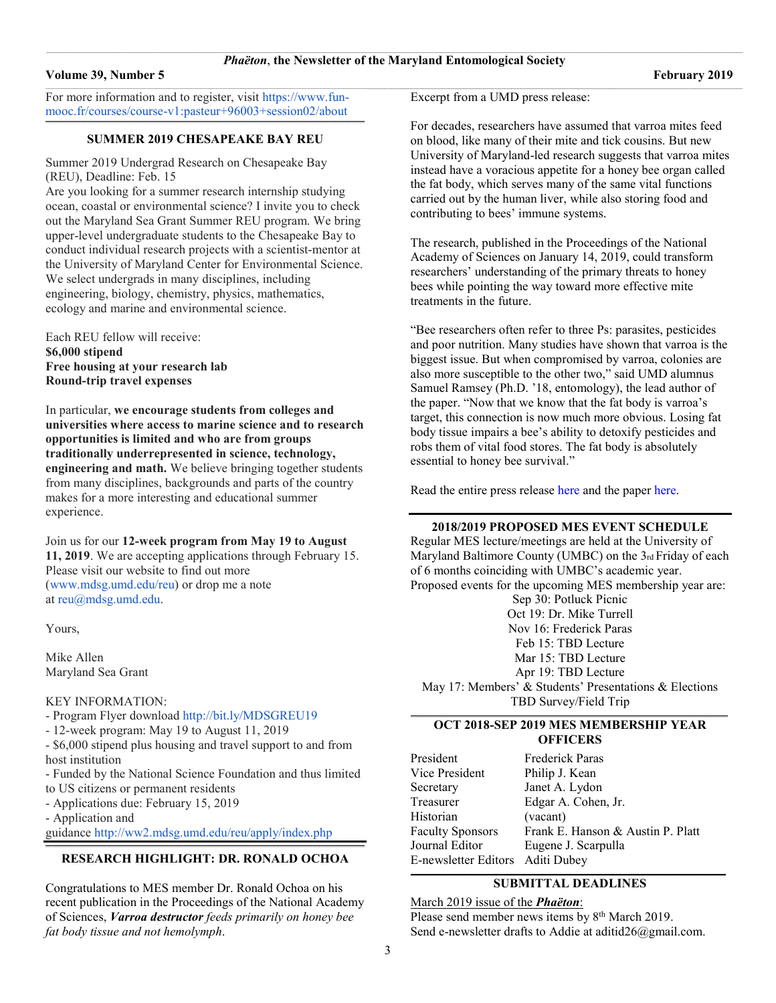#### **Volume 39, Number 5** February **2019**

For more information and to register, visit [https://www.fun](https://www.fun-mooc.fr/courses/course-v1:pasteur+96003+session02/about)[mooc.fr/courses/course-v1:pasteur+96003+session02/about](https://www.fun-mooc.fr/courses/course-v1:pasteur+96003+session02/about)

#### **\_\_\_\_\_\_\_\_\_\_\_\_\_\_\_\_\_\_\_\_\_\_\_\_\_\_\_\_\_\_\_\_\_\_\_\_\_\_\_\_\_\_\_\_\_\_\_\_\_\_\_\_\_\_\_\_\_\_\_\_\_\_\_\_\_\_\_\_\_\_\_\_\_\_\_\_\_\_\_\_\_\_\_\_\_\_\_\_\_\_\_\_\_\_\_\_\_\_\_\_\_\_\_\_\_\_\_\_\_\_\_\_\_\_\_\_\_\_\_\_\_\_\_\_\_\_\_\_\_\_\_\_\_\_\_\_\_\_\_\_\_\_\_\_\_\_\_\_\_\_\_\_\_\_\_\_\_\_\_\_\_\_\_\_\_\_\_\_ SUMMER 2019 CHESAPEAKE BAY REU**

Summer 2019 Undergrad Research on Chesapeake Bay (REU), Deadline: Feb. 15

Are you looking for a summer research internship studying ocean, coastal or environmental science? I invite you to check out the Maryland Sea Grant Summer REU program. We bring upper-level undergraduate students to the Chesapeake Bay to conduct individual research projects with a scientist-mentor at the University of Maryland Center for Environmental Science. We select undergrads in many disciplines, including engineering, biology, chemistry, physics, mathematics, ecology and marine and environmental science.

Each REU fellow will receive:

**\$6,000 stipend Free housing at your research lab Round-trip travel expenses**

In particular, **we encourage students from colleges and universities where access to marine science and to research opportunities is limited and who are from groups traditionally underrepresented in science, technology, engineering and math.** We believe bringing together students from many disciplines, backgrounds and parts of the country makes for a more interesting and educational summer experience.

Join us for our **12-week program from May 19 to August 11, 2019**. We are accepting applications through February 15. Please visit our website to find out more [\(www.mdsg.umd.edu/reu\)](http://www.mdsg.umd.edu/reu) or drop me a note at [reu@mdsg.umd.edu.](mailto:reu@mdsg.umd.edu)

Yours,

Mike Allen Maryland Sea Grant

#### KEY INFORMATION:

- Program Flyer download <http://bit.ly/MDSGREU19>

- 12-week program: May 19 to August 11, 2019

- \$6,000 stipend plus housing and travel support to and from host institution

- Funded by the National Science Foundation and thus limited to US citizens or permanent residents
- Applications due: February 15, 2019

- Application and

guidance <http://ww2.mdsg.umd.edu/reu/apply/index.php>

#### **\_\_\_\_\_\_\_\_\_\_\_\_\_\_\_\_\_\_\_\_\_\_\_\_\_\_\_\_\_\_\_\_\_\_\_\_\_\_\_\_\_\_\_\_\_\_\_\_\_\_\_\_\_\_\_\_\_\_\_\_\_\_\_\_\_\_\_\_\_\_\_\_\_\_\_\_\_\_\_\_\_\_\_\_\_\_\_\_\_\_\_\_\_\_\_\_\_\_\_\_\_\_\_\_\_\_\_\_\_\_\_\_\_\_\_\_\_\_\_\_\_\_\_\_\_\_\_\_\_\_\_\_\_\_\_\_\_\_\_\_\_\_\_\_\_\_\_\_\_\_\_\_\_\_\_\_\_\_\_\_\_\_\_\_\_\_\_\_ RESEARCH HIGHLIGHT: DR. RONALD OCHOA**

Congratulations to MES member Dr. Ronald Ochoa on his recent publication in the Proceedings of the National Academy of Sciences, *Varroa destructor feeds primarily on honey bee fat body tissue and not hemolymph*.

Excerpt from a UMD press release:

For decades, researchers have assumed that varroa mites feed on blood, like many of their mite and tick cousins. But new University of Maryland-led research suggests that varroa mites instead have a voracious appetite for a honey bee organ called the fat body, which serves many of the same vital functions carried out by the human liver, while also storing food and contributing to bees' immune systems.

The research, published in the Proceedings of the National Academy of Sciences on January 14, 2019, could transform researchers' understanding of the primary threats to honey bees while pointing the way toward more effective mite treatments in the future.

"Bee researchers often refer to three Ps: parasites, pesticides and poor nutrition. Many studies have shown that varroa is the biggest issue. But when compromised by varroa, colonies are also more susceptible to the other two," said UMD alumnus Samuel Ramsey (Ph.D. '18, entomology), the lead author of the paper. "Now that we know that the fat body is varroa's target, this connection is now much more obvious. Losing fat body tissue impairs a bee's ability to detoxify pesticides and robs them of vital food stores. The fat body is absolutely essential to honey bee survival."

Read the entire press release [here](https://cmns.umd.edu/news-events/features/4314) and the paper [here.](https://www.pnas.org/content/116/5/1792)

#### **2018/2019 PROPOSED MES EVENT SCHEDULE**

Regular MES lecture/meetings are held at the University of Maryland Baltimore County (UMBC) on the 3rd Friday of each of 6 months coinciding with UMBC's academic year. Proposed events for the upcoming MES membership year are: Sep 30: Potluck Picnic Oct 19: Dr. Mike Turrell Nov 16: Frederick Paras Feb 15: TBD Lecture Mar 15: TBD Lecture Apr 19: TBD Lecture May 17: Members' & Students' Presentations & Elections TBD Survey/Field Trip

#### **\_\_\_\_\_\_\_\_\_\_\_\_\_\_\_\_\_\_\_\_\_\_\_\_\_\_\_\_\_\_\_\_\_\_\_\_\_\_\_\_\_\_\_\_\_\_\_\_\_\_\_\_\_\_\_\_\_\_\_\_\_\_\_\_\_\_\_\_\_\_\_\_\_\_\_\_\_\_\_\_\_\_\_\_\_\_\_\_\_\_\_\_\_\_\_\_\_\_\_\_\_\_\_\_\_\_\_\_\_\_\_\_\_\_\_\_\_\_\_\_\_\_\_\_\_\_\_\_\_\_\_\_\_\_\_\_\_\_\_\_\_\_\_\_\_\_\_\_\_\_\_\_\_\_\_\_\_\_\_\_\_\_\_\_\_\_\_ OCT 2018-SEP 2019 MES MEMBERSHIP YEAR OFFICERS**

| President                        | Frederick Paras                   |
|----------------------------------|-----------------------------------|
| Vice President                   | Philip J. Kean                    |
| Secretary                        | Janet A. Lydon                    |
| Treasurer                        | Edgar A. Cohen, Jr.               |
| Historian                        | (vacant)                          |
| <b>Faculty Sponsors</b>          | Frank E. Hanson & Austin P. Platt |
| Journal Editor                   | Eugene J. Scarpulla               |
| E-newsletter Editors Aditi Dubey |                                   |
|                                  |                                   |

#### $\mathcal{L} = \{ \mathcal{L} = \{ \mathcal{L} = \{ \mathcal{L} = \{ \mathcal{L} = \{ \mathcal{L} = \{ \mathcal{L} = \{ \mathcal{L} = \{ \mathcal{L} = \{ \mathcal{L} = \{ \mathcal{L} = \{ \mathcal{L} = \{ \mathcal{L} = \{ \mathcal{L} = \{ \mathcal{L} = \{ \mathcal{L} = \{ \mathcal{L} = \{ \mathcal{L} = \{ \mathcal{L} = \{ \mathcal{L} = \{ \mathcal{L} = \{ \mathcal{L} = \{ \mathcal{L} = \{ \mathcal{L} = \{ \mathcal{$ **SUBMITTAL DEADLINES**

March 2019 issue of the *Phaëton*: Please send member news items by 8<sup>th</sup> March 2019. Send e-newsletter drafts to Addie at [aditid26@gmail.com.](mailto:aditid26@gmail.com)